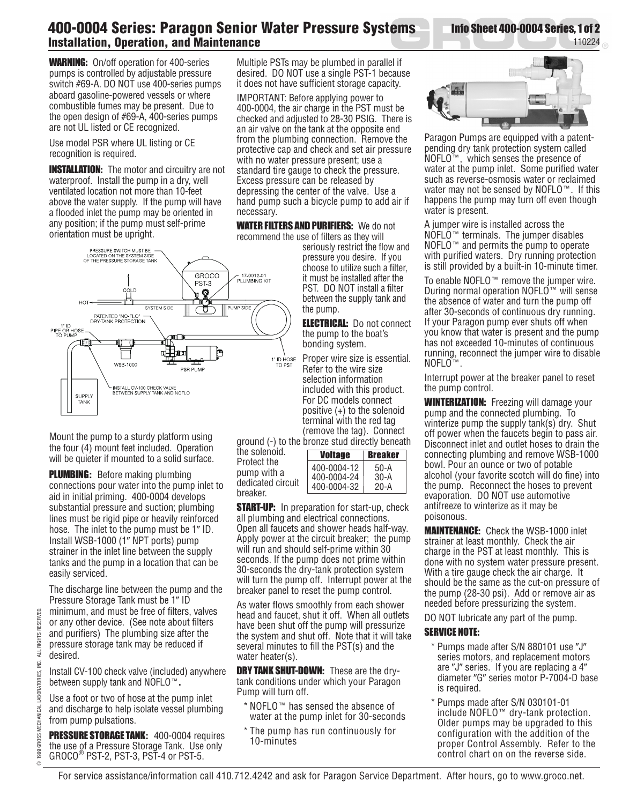## **400-0004 Series: Paragon Senior Water Pressure Systems Installation, Operation, and Maintenance**

**WARNING:** On/off operation for 400-series pumps is controlled by adjustable pressure switch #69-A. DO NOT use 400-series pumps aboard gasoline-powered vessels or where combustible fumes may be present. Due to the open design of #69-A, 400-series pumps are not UL listed or CE recognized.

Use model PSR where UL listing or CE recognition is required.

**INSTALLATION:** The motor and circuitry are not waterproof. Install the pump in a dry, well ventilated location not more than 10-feet above the water supply. If the pump will have a flooded inlet the pump may be oriented in any position; if the pump must self-prime orientation must be upright.



Mount the pump to a sturdy platform using the four (4) mount feet included. Operation will be quieter if mounted to a solid surface.

Plumbing**:** Before making plumbing connections pour water into the pump inlet to aid in initial priming. 400-0004 develops substantial pressure and suction; plumbing lines must be rigid pipe or heavily reinforced hose. The inlet to the pump must be 1" ID. Install WSB-1000 (1" NPT ports) pump strainer in the inlet line between the supply tanks and the pump in a location that can be easily serviced.

The discharge line between the pump and the Pressure Storage Tank must be 1" ID minimum, and must be free of filters, valves or any other device. (See note about filters and purifiers) The plumbing size after the pressure storage tank may be reduced if desired.

Install CV-100 check valve (included) anywhere between supply tank and NOFLO**.**

Use a foot or two of hose at the pump inlet and discharge to help isolate vessel plumbing from pump pulsations.

PRESSURE STORAGE TANK**:** 400-0004 requires the use of a Pressure Storage Tank. Use only  $GROCO^{\circledcirc}$  PST-2, PST-3, PST-4 or PST-5.

Multiple PSTs may be plumbed in parallel if desired. DO NOT use a single PST-1 because it does not have sufficient storage capacity.

IMPORTANT: Before applying power to 400-0004, the air charge in the PST must be checked and adjusted to 28-30 PSIG. There is an air valve on the tank at the opposite end from the plumbing connection. Remove the protective cap and check and set air pressure with no water pressure present; use a standard tire gauge to check the pressure. Excess pressure can be released by depressing the center of the valve. Use a hand pump such a bicycle pump to add air if necessary.

WATER FILTERS AND PURIFIERS: We donot recommend the use of filters as they will

> seriously restrict the flow and pressure you desire. If you choose to utilize such a filter, it must be installed after the PST. DO NOT install a filter between the supply tank and the pump.

**ELECTRICAL:** Do not connect the pump to the boat's bonding system.

Proper wire size is essential. Refer to the wire size selection information included with this product. For DC models connect positive (+) to the solenoid terminal with the red tag (remove the tag). Connect ground (-) to the bronze stud directly beneath

the solenoid. Protect the pump with a dedicated circuit breaker.

| Voltage                    | <b>Breaker</b> |
|----------------------------|----------------|
| 400-0004-12<br>400-0004-24 | $50-A$<br>30-A |
| 400-0004-32                | 20-A           |

**START-UP:** In preparation for start-up, check all plumbing and electrical connections. Open all faucets and shower heads half-way. Apply power at the circuit breaker; the pump will run and should self-prime within 30 seconds. If the pump does not prime within 30-seconds the dry-tank protection system will turn the pump off. Interrupt power at the breaker panel to reset the pump control.

As water flows smoothly from each shower head and faucet, shut it off. When all outlets have been shut off the pump will pressurize the system and shut off. Note that it will take several minutes to fill the PST(s) and the water heater(s).

**DRY TANK SHUT-DOWN:** These are the drytank conditions under which your Paragon Pump will turn off.

- $*$  NOFLO $*$  has sensed the absence of water at the pump inlet for 30-seconds
- \* The pump has run continuously for 10-minutes



Info Sheet 400-0004 Series, 1 of 2

110224

Paragon Pumps are equipped with a patentpending dry tank protection system called  $NOFLO^{\pi}$ , which senses the presence of water at the pump inlet. Some purified water such as reverse-osmosis water or reclaimed water may not be sensed by NOFLO $\mathbb{M}$ . If this happens the pump may turn off even though water is present.

A jumper wire is installed across the  $NOFLO^{\top M}$  terminals. The jumper disables NOFLO<sup>™</sup> and permits the pump to operate with purified waters. Dry running protection is still provided by a built-in 10-minute timer.

To enable NOFLO $\mathbb{R}^n$  remove the jumper wire. During normal operation NOFLO™ will sense the absence of water and turn the pump off after 30-seconds of continuous dry running. If your Paragon pump ever shuts off when you know that water is present and the pump has not exceeded 10-minutes of continuous running, reconnect the jumper wire to disable NOFLO<sup>™</sup>

Interrupt power at the breaker panel to reset the pump control.

**WINTERIZATION:** Freezing will damage your pump and the connected plumbing. To winterize pump the supply tank(s) dry. Shut off power when the faucets begin to pass air. Disconnect inlet and outlet hoses to drain the connecting plumbing and remove WSB-1000 bowl. Pour an ounce or two of potable alcohol (your favorite scotch will do fine) into the pump. Reconnect the hoses to prevent evaporation. DO NOT use automotive antifreeze to winterize as it may be poisonous.

Maintenance:Check the WSB-1000 inlet strainer at least monthly. Check the air charge in the PST at least monthly. This is done with no system water pressure present. With a tire gauge check the air charge. It should be the same as the cut-on pressure of the pump (28-30 psi). Add or remove air as needed before pressurizing the system.

DO NOT lubricate any part of the pump.

## **SERVICE NOTE:**

- \* Pumps made after S/N 880101 use "J" series motors, and replacement motors are  $"J"$  series. If you are replacing a  $4"$ diameter "G" series motor P-7004-D base is required.
- \* Pumps made after S/N 030101-01 include  $NOFLO^{\pi}$  dry-tank protection. Older pumps may be upgraded to this configuration with the addition of the proper Control Assembly. Refer to the control chart on on the reverse side.

For service assistance/information call 410.712.4242 and ask for Paragon Service Department. After hours, go to www.groco.net.

O